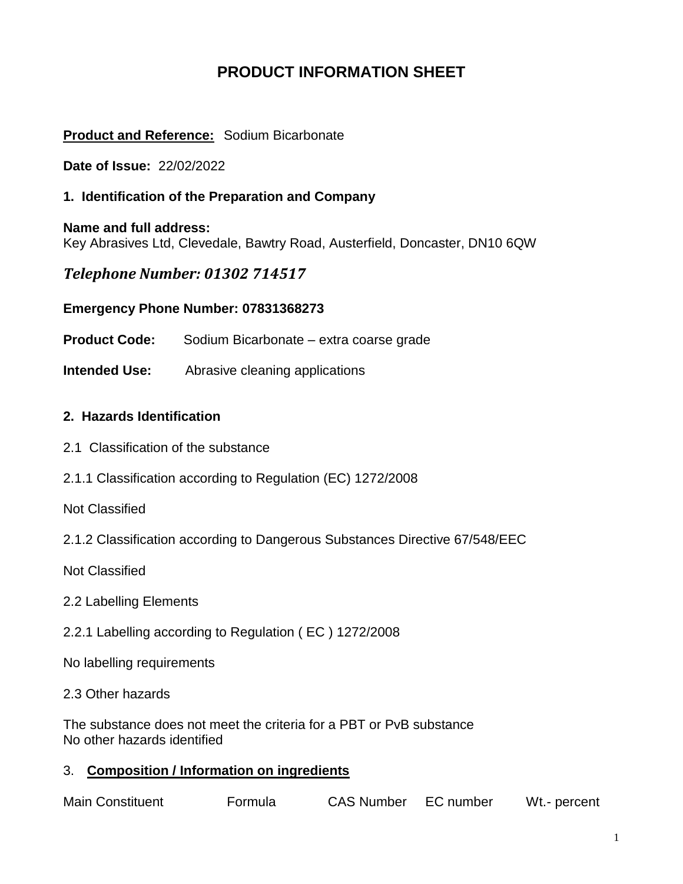# **PRODUCT INFORMATION SHEET**

## **Product and Reference:** Sodium Bicarbonate

**Date of Issue:** 22/02/2022

### **1. Identification of the Preparation and Company**

**Name and full address:**  Key Abrasives Ltd, Clevedale, Bawtry Road, Austerfield, Doncaster, DN10 6QW

## *Telephone Number: 01302 714517*

### **Emergency Phone Number: 07831368273**

**Product Code:** Sodium Bicarbonate – extra coarse grade

**Intended Use:** Abrasive cleaning applications

### **2. Hazards Identification**

- 2.1 Classification of the substance
- 2.1.1 Classification according to Regulation (EC) 1272/2008

Not Classified

2.1.2 Classification according to Dangerous Substances Directive 67/548/EEC

Not Classified

- 2.2 Labelling Elements
- 2.2.1 Labelling according to Regulation ( EC ) 1272/2008

No labelling requirements

#### 2.3 Other hazards

The substance does not meet the criteria for a PBT or PvB substance No other hazards identified

### 3. **Composition / Information on ingredients**

| <b>Main Constituent</b> | Formula | <b>CAS Number</b> | EC number | Wt.- percent |
|-------------------------|---------|-------------------|-----------|--------------|
|-------------------------|---------|-------------------|-----------|--------------|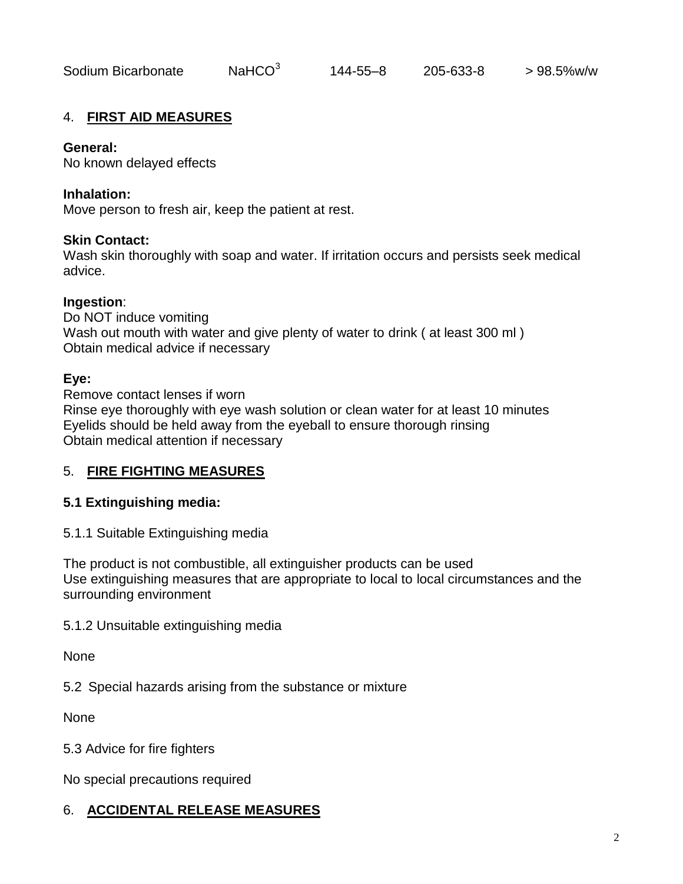### 4. **FIRST AID MEASURES**

#### **General:**

No known delayed effects

#### **Inhalation:**

Move person to fresh air, keep the patient at rest.

#### **Skin Contact:**

Wash skin thoroughly with soap and water. If irritation occurs and persists seek medical advice.

#### **Ingestion**:

Do NOT induce vomiting Wash out mouth with water and give plenty of water to drink ( at least 300 ml ) Obtain medical advice if necessary

#### **Eye:**

Remove contact lenses if worn Rinse eye thoroughly with eye wash solution or clean water for at least 10 minutes Eyelids should be held away from the eyeball to ensure thorough rinsing Obtain medical attention if necessary

### 5. **FIRE FIGHTING MEASURES**

### **5.1 Extinguishing media:**

5.1.1 Suitable Extinguishing media

The product is not combustible, all extinguisher products can be used Use extinguishing measures that are appropriate to local to local circumstances and the surrounding environment

### 5.1.2 Unsuitable extinguishing media

None

5.2 Special hazards arising from the substance or mixture

None

5.3 Advice for fire fighters

No special precautions required

## 6. **ACCIDENTAL RELEASE MEASURES**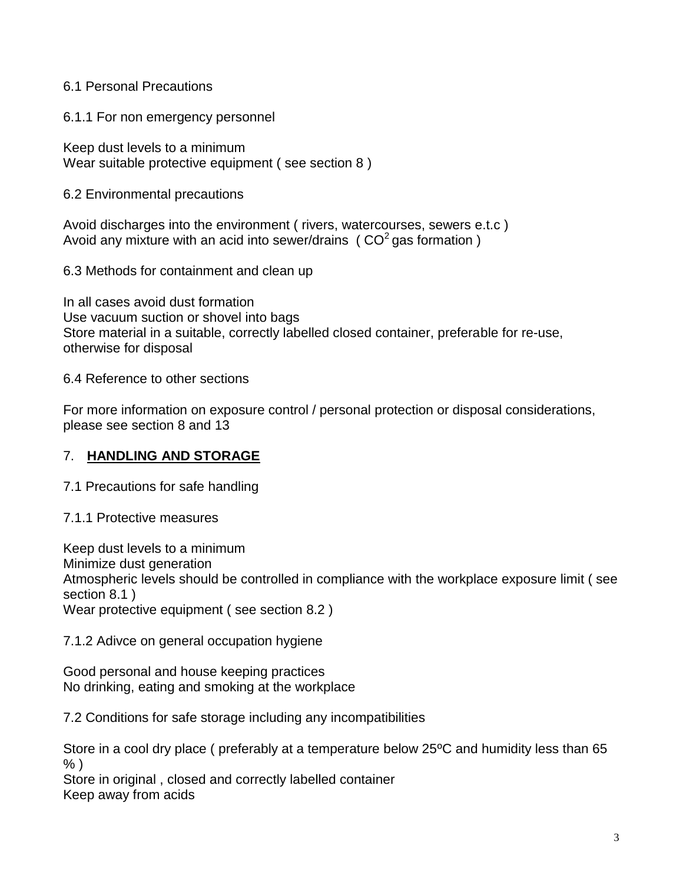## 6.1 Personal Precautions

6.1.1 For non emergency personnel

Keep dust levels to a minimum Wear suitable protective equipment ( see section 8 )

6.2 Environmental precautions

Avoid discharges into the environment ( rivers, watercourses, sewers e.t.c ) Avoid any mixture with an acid into sewer/drains ( $CO<sup>2</sup>$  gas formation)

6.3 Methods for containment and clean up

In all cases avoid dust formation Use vacuum suction or shovel into bags Store material in a suitable, correctly labelled closed container, preferable for re-use, otherwise for disposal

6.4 Reference to other sections

For more information on exposure control / personal protection or disposal considerations, please see section 8 and 13

### 7. **HANDLING AND STORAGE**

7.1 Precautions for safe handling

7.1.1 Protective measures

Keep dust levels to a minimum

Minimize dust generation

Atmospheric levels should be controlled in compliance with the workplace exposure limit ( see section 8.1 )

Wear protective equipment ( see section 8.2 )

### 7.1.2 Adivce on general occupation hygiene

Good personal and house keeping practices No drinking, eating and smoking at the workplace

7.2 Conditions for safe storage including any incompatibilities

Store in a cool dry place ( preferably at a temperature below 25ºC and humidity less than 65 % )

Store in original , closed and correctly labelled container Keep away from acids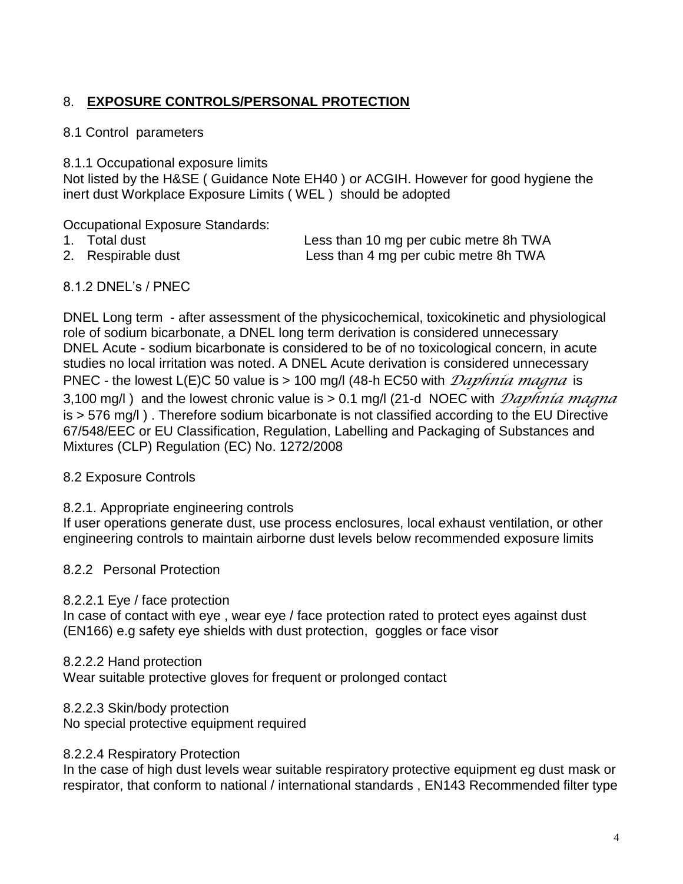## 8. **EXPOSURE CONTROLS/PERSONAL PROTECTION**

### 8.1 Control parameters

8.1.1 Occupational exposure limits

Not listed by the H&SE ( Guidance Note EH40 ) or ACGIH. However for good hygiene the inert dust Workplace Exposure Limits ( WEL ) should be adopted

Occupational Exposure Standards:

- 
- 

1. Total dust Less than 10 mg per cubic metre 8h TWA 2. Respirable dust **Less than 4 mg per cubic metre 8h TWA** 

## 8.1.2 DNEL's / PNEC

DNEL Long term - after assessment of the physicochemical, toxicokinetic and physiological role of sodium bicarbonate, a DNEL long term derivation is considered unnecessary DNEL Acute - sodium bicarbonate is considered to be of no toxicological concern, in acute studies no local irritation was noted. A DNEL Acute derivation is considered unnecessary PNEC - the lowest L(E)C 50 value is > 100 mg/l (48-h EC50 with *Daphnia magna* is 3,100 mg/l ) and the lowest chronic value is > 0.1 mg/l (21-d NOEC with *Daphnia magna* is > 576 mg/l ) . Therefore sodium bicarbonate is not classified according to the EU Directive 67/548/EEC or EU Classification, Regulation, Labelling and Packaging of Substances and Mixtures (CLP) Regulation (EC) No. 1272/2008

### 8.2 Exposure Controls

### 8.2.1. Appropriate engineering controls

If user operations generate dust, use process enclosures, local exhaust ventilation, or other engineering controls to maintain airborne dust levels below recommended exposure limits

### 8.2.2 Personal Protection

### 8.2.2.1 Eye / face protection

In case of contact with eye, wear eye / face protection rated to protect eyes against dust (EN166) e.g safety eye shields with dust protection, goggles or face visor

### 8.2.2.2 Hand protection

Wear suitable protective gloves for frequent or prolonged contact

### 8.2.2.3 Skin/body protection

No special protective equipment required

### 8.2.2.4 Respiratory Protection

In the case of high dust levels wear suitable respiratory protective equipment eg dust mask or respirator, that conform to national / international standards , EN143 Recommended filter type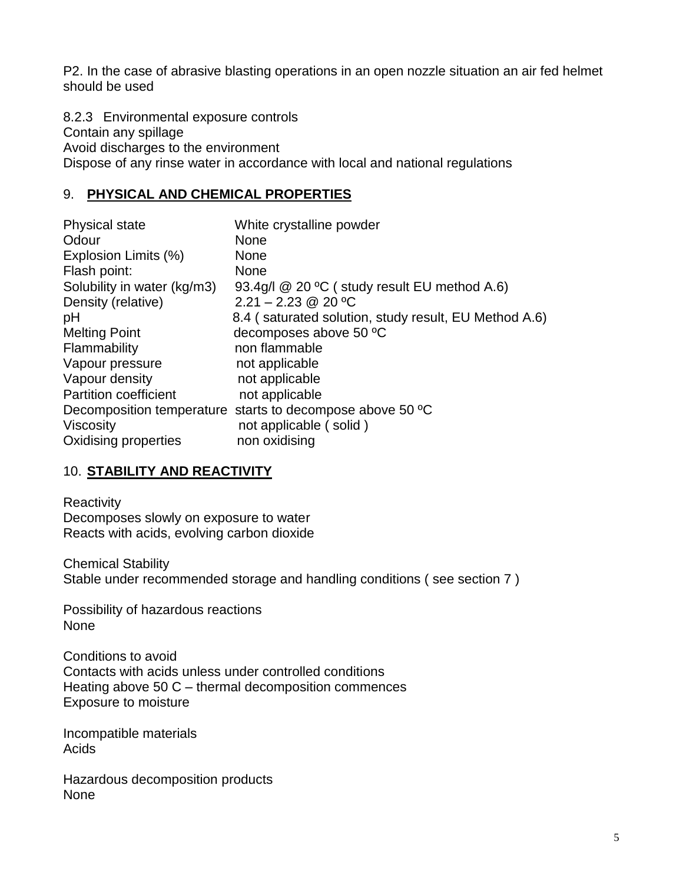P2. In the case of abrasive blasting operations in an open nozzle situation an air fed helmet should be used

8.2.3 Environmental exposure controls Contain any spillage Avoid discharges to the environment Dispose of any rinse water in accordance with local and national regulations

## 9. **PHYSICAL AND CHEMICAL PROPERTIES**

| <b>Physical state</b>        | White crystalline powder                                  |
|------------------------------|-----------------------------------------------------------|
| Odour                        | <b>None</b>                                               |
| Explosion Limits (%)         | <b>None</b>                                               |
| Flash point:                 | <b>None</b>                                               |
| Solubility in water (kg/m3)  | 93.4g/l $@$ 20 °C (study result EU method A.6)            |
| Density (relative)           | $2.21 - 2.23$ @ 20 °C                                     |
| pH                           | 8.4 (saturated solution, study result, EU Method A.6)     |
| <b>Melting Point</b>         | decomposes above 50 °C                                    |
| Flammability                 | non flammable                                             |
| Vapour pressure              | not applicable                                            |
| Vapour density               | not applicable                                            |
| <b>Partition coefficient</b> | not applicable                                            |
|                              | Decomposition temperature starts to decompose above 50 °C |
| <b>Viscosity</b>             | not applicable (solid)                                    |
| Oxidising properties         | non oxidising                                             |

## 10. **STABILITY AND REACTIVITY**

**Reactivity** Decomposes slowly on exposure to water Reacts with acids, evolving carbon dioxide

Chemical Stability Stable under recommended storage and handling conditions ( see section 7 )

Possibility of hazardous reactions None

Conditions to avoid Contacts with acids unless under controlled conditions Heating above 50 C – thermal decomposition commences Exposure to moisture

Incompatible materials Acids

Hazardous decomposition products None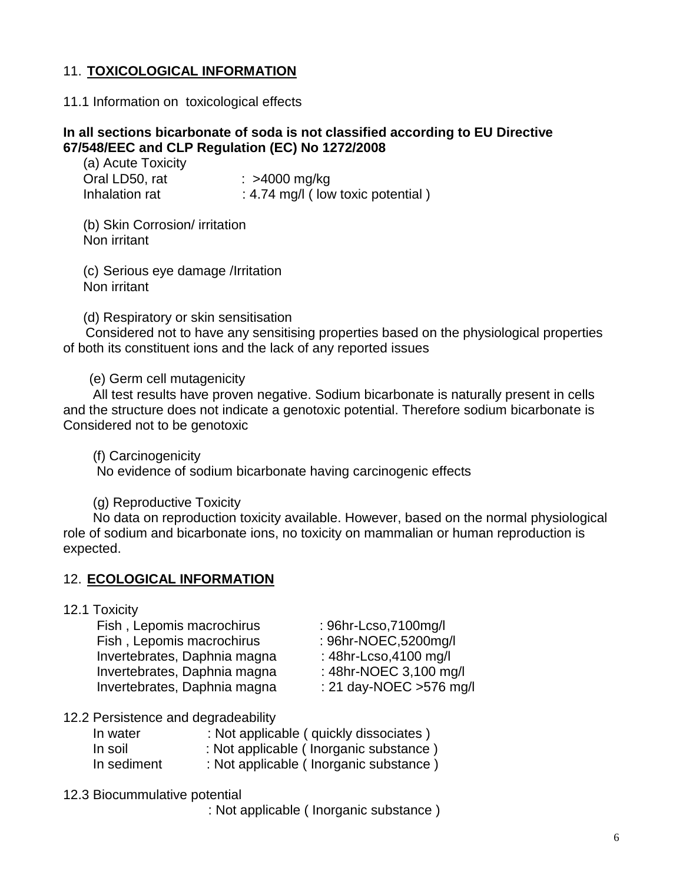## 11. **TOXICOLOGICAL INFORMATION**

#### 11.1 Information on toxicological effects

#### **In all sections bicarbonate of soda is not classified according to EU Directive 67/548/EEC and CLP Regulation (EC) No 1272/2008**

| (a) Acute Toxicity |                                   |
|--------------------|-----------------------------------|
| Oral LD50, rat     | : $>4000$ mg/kg                   |
| Inhalation rat     | : 4.74 mg/l (low toxic potential) |

(b) Skin Corrosion/ irritation Non irritant

(c) Serious eye damage /Irritation Non irritant

(d) Respiratory or skin sensitisation

 Considered not to have any sensitising properties based on the physiological properties of both its constituent ions and the lack of any reported issues

(e) Germ cell mutagenicity

 All test results have proven negative. Sodium bicarbonate is naturally present in cells and the structure does not indicate a genotoxic potential. Therefore sodium bicarbonate is Considered not to be genotoxic

(f) Carcinogenicity

No evidence of sodium bicarbonate having carcinogenic effects

(g) Reproductive Toxicity

 No data on reproduction toxicity available. However, based on the normal physiological role of sodium and bicarbonate ions, no toxicity on mammalian or human reproduction is expected.

#### 12. **ECOLOGICAL INFORMATION**

#### 12.1 Toxicity

 Fish , Lepomis macrochirus : 96hr-Lcso,7100mg/l Fish, Lepomis macrochirus : 96hr-NOEC,5200mg/l Invertebrates, Daphnia magna : 48hr-Lcso,4100 mg/l Invertebrates, Daphnia magna : 48hr-NOEC 3,100 mg/l Invertebrates, Daphnia magna : 21 day-NOEC >576 mg/l

- 
- 
- 
- 

#### 12.2 Persistence and degradeability

| In water    | : Not applicable ( quickly dissociates ) |
|-------------|------------------------------------------|
| In soil     | : Not applicable (Inorganic substance)   |
| In sediment | : Not applicable (Inorganic substance)   |

12.3 Biocummulative potential

: Not applicable ( Inorganic substance )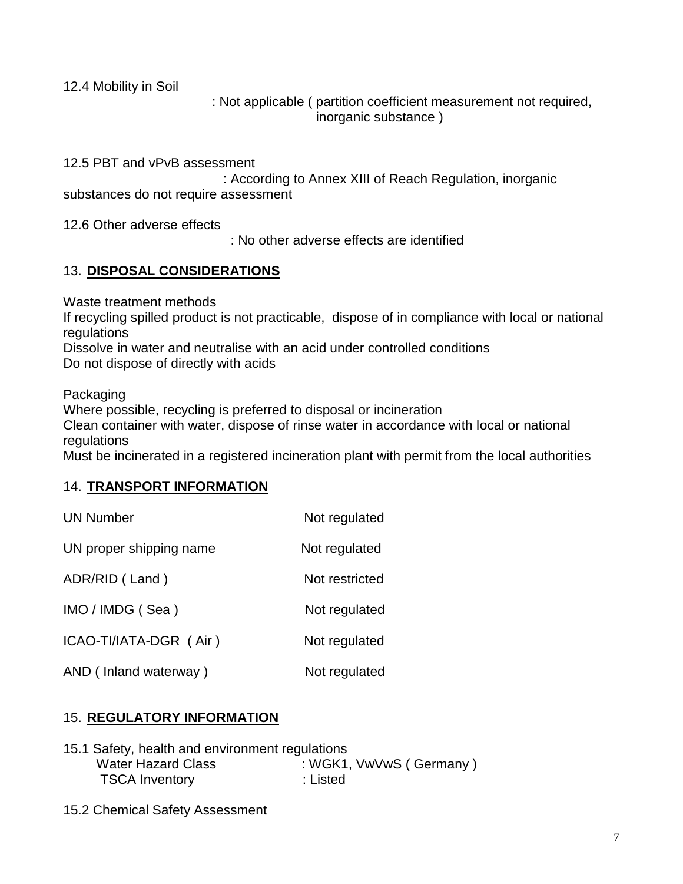12.4 Mobility in Soil

 : Not applicable ( partition coefficient measurement not required, inorganic substance )

12.5 PBT and vPvB assessment

 : According to Annex XIII of Reach Regulation, inorganic substances do not require assessment

12.6 Other adverse effects

: No other adverse effects are identified

## 13. **DISPOSAL CONSIDERATIONS**

Waste treatment methods

If recycling spilled product is not practicable, dispose of in compliance with local or national regulations

Dissolve in water and neutralise with an acid under controlled conditions Do not dispose of directly with acids

Packaging

Where possible, recycling is preferred to disposal or incineration

Clean container with water, dispose of rinse water in accordance with local or national regulations

Must be incinerated in a registered incineration plant with permit from the local authorities

## 14. **TRANSPORT INFORMATION**

| <b>UN Number</b>        | Not regulated  |
|-------------------------|----------------|
| UN proper shipping name | Not regulated  |
| ADR/RID (Land)          | Not restricted |
| IMO / IMDG (Sea)        | Not regulated  |
| ICAO-TI/IATA-DGR (Air)  | Not regulated  |
| AND (Inland waterway)   | Not regulated  |

## 15. **REGULATORY INFORMATION**

| 15.1 Safety, health and environment regulations |                         |
|-------------------------------------------------|-------------------------|
| <b>Water Hazard Class</b>                       | : WGK1, VwVwS (Germany) |
| <b>TSCA Inventory</b>                           | :Listed                 |

15.2 Chemical Safety Assessment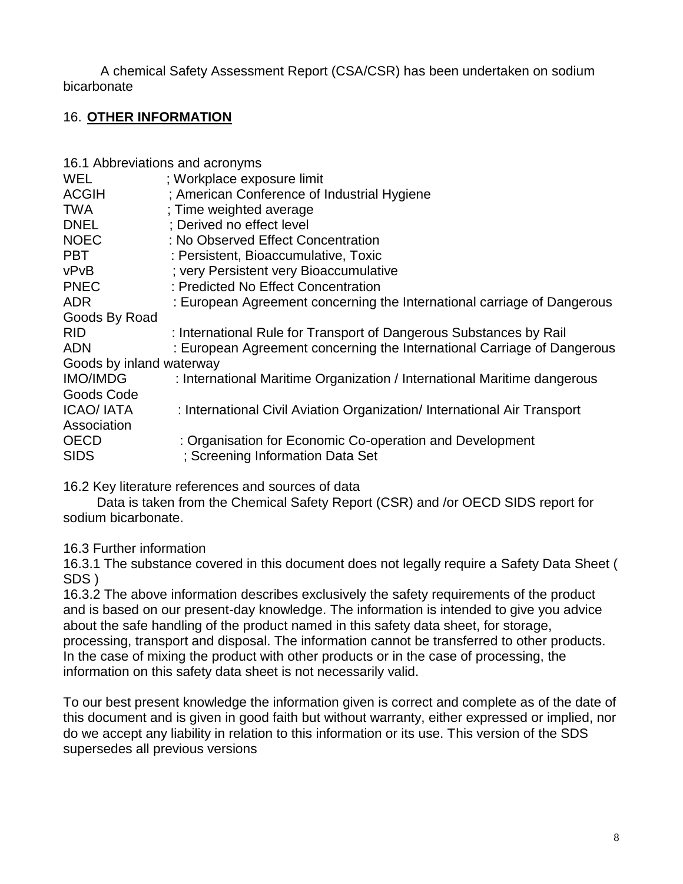A chemical Safety Assessment Report (CSA/CSR) has been undertaken on sodium bicarbonate

## 16. **OTHER INFORMATION**

| 16.1 Abbreviations and acronyms |                                                                          |
|---------------------------------|--------------------------------------------------------------------------|
| WEL                             | ; Workplace exposure limit                                               |
| <b>ACGIH</b>                    | ; American Conference of Industrial Hygiene                              |
| <b>TWA</b>                      | : Time weighted average                                                  |
| <b>DNEL</b>                     | ; Derived no effect level                                                |
| <b>NOEC</b>                     | : No Observed Effect Concentration                                       |
| <b>PBT</b>                      | : Persistent, Bioaccumulative, Toxic                                     |
| vPvB                            | ; very Persistent very Bioaccumulative                                   |
| <b>PNEC</b>                     | : Predicted No Effect Concentration                                      |
| <b>ADR</b>                      | : European Agreement concerning the International carriage of Dangerous  |
| Goods By Road                   |                                                                          |
| <b>RID</b>                      | : International Rule for Transport of Dangerous Substances by Rail       |
| <b>ADN</b>                      | : European Agreement concerning the International Carriage of Dangerous  |
| Goods by inland waterway        |                                                                          |
| <b>IMO/IMDG</b>                 | : International Maritime Organization / International Maritime dangerous |
| Goods Code                      |                                                                          |
| <b>ICAO/ IATA</b>               | : International Civil Aviation Organization/ International Air Transport |
| Association                     |                                                                          |
| <b>OECD</b>                     | : Organisation for Economic Co-operation and Development                 |
| <b>SIDS</b>                     | ; Screening Information Data Set                                         |

16.2 Key literature references and sources of data

 Data is taken from the Chemical Safety Report (CSR) and /or OECD SIDS report for sodium bicarbonate.

16.3 Further information

16.3.1 The substance covered in this document does not legally require a Safety Data Sheet ( SDS )

16.3.2 The above information describes exclusively the safety requirements of the product and is based on our present-day knowledge. The information is intended to give you advice about the safe handling of the product named in this safety data sheet, for storage, processing, transport and disposal. The information cannot be transferred to other products. In the case of mixing the product with other products or in the case of processing, the information on this safety data sheet is not necessarily valid.

To our best present knowledge the information given is correct and complete as of the date of this document and is given in good faith but without warranty, either expressed or implied, nor do we accept any liability in relation to this information or its use. This version of the SDS supersedes all previous versions